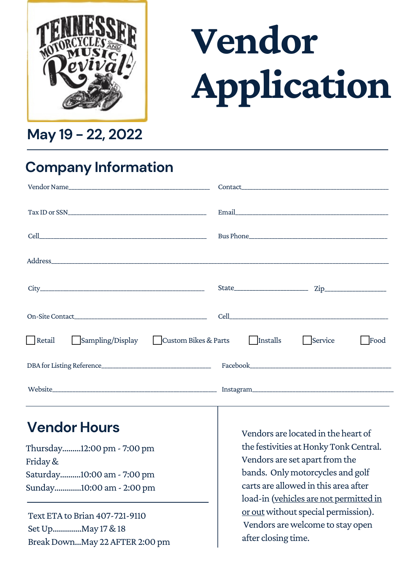

# **Vendor Application**

**May 19 - 22, 2022**

## **Company Information**

|                                                      | Contact the contract of the contract of the contract of the contract of the contract of the contract of the contract of the contract of the contract of the contract of the contract of the contract of the contract of the co |
|------------------------------------------------------|--------------------------------------------------------------------------------------------------------------------------------------------------------------------------------------------------------------------------------|
|                                                      |                                                                                                                                                                                                                                |
|                                                      |                                                                                                                                                                                                                                |
|                                                      |                                                                                                                                                                                                                                |
|                                                      | $\mathsf{Zip}\_$                                                                                                                                                                                                               |
|                                                      |                                                                                                                                                                                                                                |
| Retail<br>Sampling/Display<br>  Custom Bikes & Parts | Installs<br>Service<br>Food                                                                                                                                                                                                    |
| DBA for Listing Reference                            |                                                                                                                                                                                                                                |
|                                                      |                                                                                                                                                                                                                                |

#### **Vendor Hours**

Thursday.........12:00pm - 7:00pm Friday& Saturday..........10:00am - 7:00pm Sunday.............10:00am - 2:00pm

Text ETA to Brian 407-721-9110 SetUp..............May 17&18 Break Down...May 22 AFTER 2:00 pm Vendors are located in the heart of the festivities at Honky Tonk Central. Vendors are set apart from the bands. Only motorcycles and golf carts are allowed in this area after load-in (vehicles are not permitted in or out without special permission). Vendors arewelcome to stay open after closing time.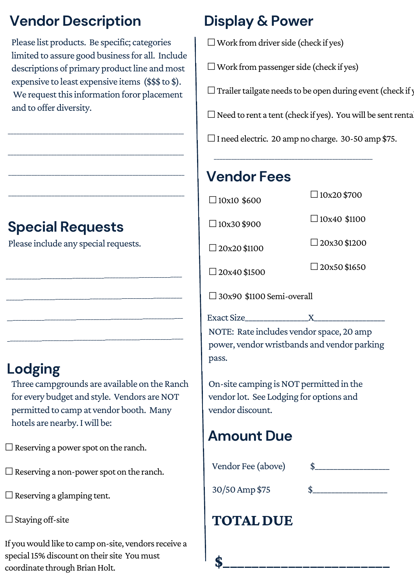# **Vendor Description Display & Power**

Please list products. Be specific; categories limited to assure good business for all. Include descriptions of primary product line and most expensive to least expensive items (\$\$\$ to \$). We request this information foror placement and to offer diversity.

\_\_\_\_\_\_\_\_\_\_\_\_\_\_\_\_\_\_\_\_\_\_\_\_\_\_\_\_\_\_\_\_\_\_\_\_\_\_\_\_\_\_\_\_\_\_\_\_\_\_\_\_\_\_\_\_\_\_\_\_\_

\_\_\_\_\_\_\_\_\_\_\_\_\_\_\_\_\_\_\_\_\_\_\_\_\_\_\_\_\_\_\_\_\_\_\_\_\_\_\_\_\_\_\_\_\_\_\_\_\_\_\_\_\_\_\_\_\_\_\_\_\_

\_\_\_\_\_\_\_\_\_\_\_\_\_\_\_\_\_\_\_\_\_\_\_\_\_\_\_\_\_\_\_\_\_\_\_\_\_\_\_\_\_\_\_\_\_\_\_\_\_\_\_\_\_\_\_\_\_\_\_\_\_

\_\_\_\_\_\_\_\_\_\_\_\_\_\_\_\_\_\_\_\_\_\_\_\_\_\_\_\_\_\_\_\_\_\_\_\_\_\_\_\_\_\_\_\_\_\_\_\_\_\_\_\_\_\_\_\_\_\_\_\_\_

\_\_\_\_\_\_\_\_\_\_\_\_\_\_\_\_\_\_\_\_\_\_\_\_\_\_\_\_\_\_\_\_\_\_\_\_\_\_\_\_\_\_\_\_\_\_\_\_\_\_\_\_\_\_\_\_\_\_\_\_\_

\_\_\_\_\_\_\_\_\_\_\_\_\_\_\_\_\_\_\_\_\_\_\_\_\_\_\_\_\_\_\_\_\_\_\_\_\_\_\_\_\_\_\_\_\_\_\_\_\_\_\_\_\_\_\_\_\_\_\_\_\_

\_\_\_\_\_\_\_\_\_\_\_\_\_\_\_\_\_\_\_\_\_\_\_\_\_\_\_\_\_\_\_\_\_\_\_\_\_\_\_\_\_\_\_\_\_\_\_\_\_\_\_\_\_\_\_\_\_\_\_\_\_

\_\_\_\_\_\_\_\_\_\_\_\_\_\_\_\_\_\_\_\_\_\_\_\_\_\_\_\_\_\_\_\_\_\_\_\_\_\_\_\_\_\_\_\_\_\_\_\_\_\_\_\_\_\_\_\_\_\_\_\_\_

 $\Box$  Work from driver side (check if yes)

 $\Box$  Work from passenger side (check if yes)

 $\Box$  Trailer tailgate needs to be open during event (check if y

 $\Box$  Need to rent a tent (check if yes). You will be sent rental

☐I need electric. 20amp no charge. 30-50amp \$75.

\_\_\_\_\_\_\_\_\_\_\_\_\_\_\_\_\_\_\_\_\_\_\_\_\_\_\_\_\_\_\_\_\_\_\_\_\_\_\_\_\_\_\_\_\_\_\_\_\_\_\_\_\_\_\_

#### **Vendor Fees**

 $\square$ 10x10 \$600

☐10x30\$900

□ 20x20 \$1100

☐20x40\$1500

 $\Box$ 10x20 \$700

 $\Box$ 10x40 \$1100

 $\Box$ 20x30 \$1200

 $\Box$  20x50 \$1650

 $\square$ 30x90 \$1100 Semi-overall

Exact Size\_\_\_\_\_\_\_\_\_\_\_\_\_\_\_\_\_X\_\_\_\_\_\_\_\_\_\_\_\_\_\_\_\_\_\_\_ NOTE: Rate includes vendor space, 20 amp power, vendor wristbands and vendor parking pass.

On-site camping isNOT permitted in the vendor lot. See Lodging for options and vendor discount.

### **Amount Due**

Vendor Fee (above) \$\_\_\_\_\_\_\_\_\_\_\_\_\_\_\_\_\_\_\_\_ 30/50 Amp \$75 **TOTAL DUE** 

**\$\_\_\_\_\_\_\_\_\_\_\_\_\_\_\_\_\_\_\_\_\_\_\_**

# **Special Requests**

Please include any special requests.

# **Lodging**

Three campgrounds are available on the Ranch for every budget and style. Vendors are NOT permitted to camp at vendor booth. Many hotels are nearby.Iwill be:

 $\Box$  Reserving a power spot on the ranch.

 $\Box$  Reserving a non-power spot on the ranch.

 $\Box$  Reserving a glamping tent.

 $\Box$  Staying off-site

If you would like to camp on-site, vendors receive a special 15% discount on their site You must coordinate through Brian Holt.